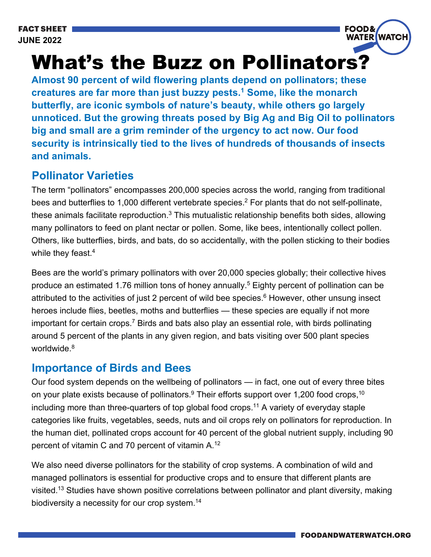

# What's the Buzz on Pollinators?

**Almost 90 percent of wild flowering plants depend on pollinators; these creatures are far more than just buzzy pests.1 Some, like the monarch butterfly, are iconic symbols of nature's beauty, while others go largely unnoticed. But the growing threats posed by Big Ag and Big Oil to pollinators big and small are a grim reminder of the urgency to act now. Our food security is intrinsically tied to the lives of hundreds of thousands of insects and animals.**

#### **Pollinator Varieties**

The term "pollinators" encompasses 200,000 species across the world, ranging from traditional bees and butterflies to 1,000 different vertebrate species.<sup>2</sup> For plants that do not self-pollinate, these animals facilitate reproduction.<sup>3</sup> This mutualistic relationship benefits both sides, allowing many pollinators to feed on plant nectar or pollen. Some, like bees, intentionally collect pollen. Others, like butterflies, birds, and bats, do so accidentally, with the pollen sticking to their bodies while they feast.<sup>4</sup>

Bees are the world's primary pollinators with over 20,000 species globally; their collective hives produce an estimated 1.76 million tons of honey annually.<sup>5</sup> Eighty percent of pollination can be attributed to the activities of just 2 percent of wild bee species. $6$  However, other unsung insect heroes include flies, beetles, moths and butterflies — these species are equally if not more important for certain crops.<sup>7</sup> Birds and bats also play an essential role, with birds pollinating around 5 percent of the plants in any given region, and bats visiting over 500 plant species worldwide.<sup>8</sup>

#### **Importance of Birds and Bees**

Our food system depends on the wellbeing of pollinators — in fact, one out of every three bites on your plate exists because of pollinators. $9$  Their efforts support over 1,200 food crops,  $10$ including more than three-quarters of top global food crops.<sup>11</sup> A variety of everyday staple categories like fruits, vegetables, seeds, nuts and oil crops rely on pollinators for reproduction. In the human diet, pollinated crops account for 40 percent of the global nutrient supply, including 90 percent of vitamin C and 70 percent of vitamin A.12

We also need diverse pollinators for the stability of crop systems. A combination of wild and managed pollinators is essential for productive crops and to ensure that different plants are visited.<sup>13</sup> Studies have shown positive correlations between pollinator and plant diversity, making biodiversity a necessity for our crop system.14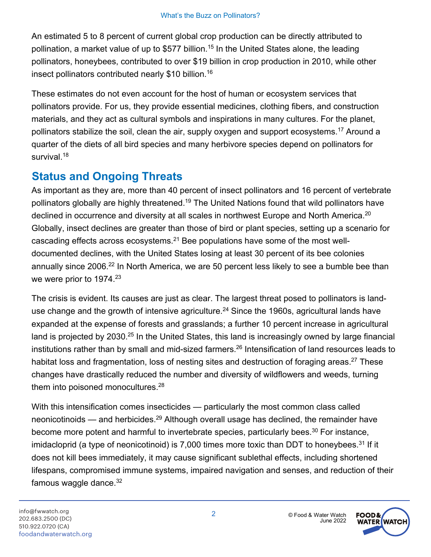An estimated 5 to 8 percent of current global crop production can be directly attributed to pollination, a market value of up to \$577 billion.<sup>15</sup> In the United States alone, the leading pollinators, honeybees, contributed to over \$19 billion in crop production in 2010, while other insect pollinators contributed nearly \$10 billion. 16

These estimates do not even account for the host of human or ecosystem services that pollinators provide. For us, they provide essential medicines, clothing fibers, and construction materials, and they act as cultural symbols and inspirations in many cultures. For the planet, pollinators stabilize the soil, clean the air, supply oxygen and support ecosystems.<sup>17</sup> Around a quarter of the diets of all bird species and many herbivore species depend on pollinators for survival.<sup>18</sup>

## **Status and Ongoing Threats**

As important as they are, more than 40 percent of insect pollinators and 16 percent of vertebrate pollinators globally are highly threatened.<sup>19</sup> The United Nations found that wild pollinators have declined in occurrence and diversity at all scales in northwest Europe and North America.<sup>20</sup> Globally, insect declines are greater than those of bird or plant species, setting up a scenario for cascading effects across ecosystems. $2<sup>1</sup>$  Bee populations have some of the most welldocumented declines, with the United States losing at least 30 percent of its bee colonies annually since 2006.<sup>22</sup> In North America, we are 50 percent less likely to see a bumble bee than we were prior to 1974.<sup>23</sup>

The crisis is evident. Its causes are just as clear. The largest threat posed to pollinators is landuse change and the growth of intensive agriculture.<sup>24</sup> Since the 1960s, agricultural lands have expanded at the expense of forests and grasslands; a further 10 percent increase in agricultural land is projected by 2030.<sup>25</sup> In the United States, this land is increasingly owned by large financial institutions rather than by small and mid-sized farmers.<sup>26</sup> Intensification of land resources leads to habitat loss and fragmentation, loss of nesting sites and destruction of foraging areas.<sup>27</sup> These changes have drastically reduced the number and diversity of wildflowers and weeds, turning them into poisoned monocultures.<sup>28</sup>

With this intensification comes insecticides — particularly the most common class called neonicotinoids — and herbicides.<sup>29</sup> Although overall usage has declined, the remainder have become more potent and harmful to invertebrate species, particularly bees.<sup>30</sup> For instance, imidacloprid (a type of neonicotinoid) is 7,000 times more toxic than DDT to honeybees.<sup>31</sup> If it does not kill bees immediately, it may cause significant sublethal effects, including shortened lifespans, compromised immune systems, impaired navigation and senses, and reduction of their famous waggle dance. $32$ 

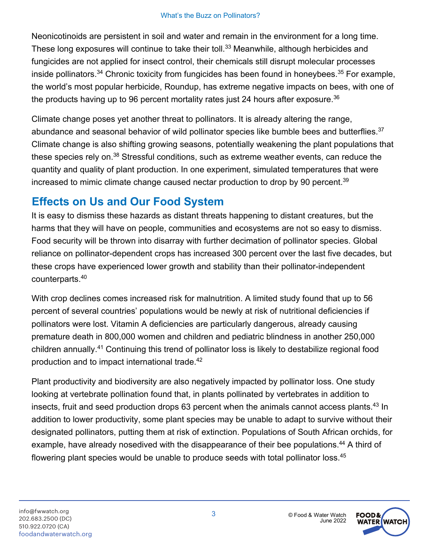Neonicotinoids are persistent in soil and water and remain in the environment for a long time. These long exposures will continue to take their toll.<sup>33</sup> Meanwhile, although herbicides and fungicides are not applied for insect control, their chemicals still disrupt molecular processes inside pollinators.<sup>34</sup> Chronic toxicity from fungicides has been found in honeybees.<sup>35</sup> For example, the world's most popular herbicide, Roundup, has extreme negative impacts on bees, with one of the products having up to 96 percent mortality rates just 24 hours after exposure.<sup>36</sup>

Climate change poses yet another threat to pollinators. It is already altering the range, abundance and seasonal behavior of wild pollinator species like bumble bees and butterflies.<sup>37</sup> Climate change is also shifting growing seasons, potentially weakening the plant populations that these species rely on.<sup>38</sup> Stressful conditions, such as extreme weather events, can reduce the quantity and quality of plant production. In one experiment, simulated temperatures that were increased to mimic climate change caused nectar production to drop by 90 percent.<sup>39</sup>

## **Effects on Us and Our Food System**

It is easy to dismiss these hazards as distant threats happening to distant creatures, but the harms that they will have on people, communities and ecosystems are not so easy to dismiss. Food security will be thrown into disarray with further decimation of pollinator species. Global reliance on pollinator-dependent crops has increased 300 percent over the last five decades, but these crops have experienced lower growth and stability than their pollinator-independent counterparts.40

With crop declines comes increased risk for malnutrition. A limited study found that up to 56 percent of several countries' populations would be newly at risk of nutritional deficiencies if pollinators were lost. Vitamin A deficiencies are particularly dangerous, already causing premature death in 800,000 women and children and pediatric blindness in another 250,000 children annually.41 Continuing this trend of pollinator loss is likely to destabilize regional food production and to impact international trade.<sup>42</sup>

Plant productivity and biodiversity are also negatively impacted by pollinator loss. One study looking at vertebrate pollination found that, in plants pollinated by vertebrates in addition to insects, fruit and seed production drops 63 percent when the animals cannot access plants.<sup>43</sup> In addition to lower productivity, some plant species may be unable to adapt to survive without their designated pollinators, putting them at risk of extinction. Populations of South African orchids, for example, have already nosedived with the disappearance of their bee populations.<sup>44</sup> A third of flowering plant species would be unable to produce seeds with total pollinator loss.<sup>45</sup>

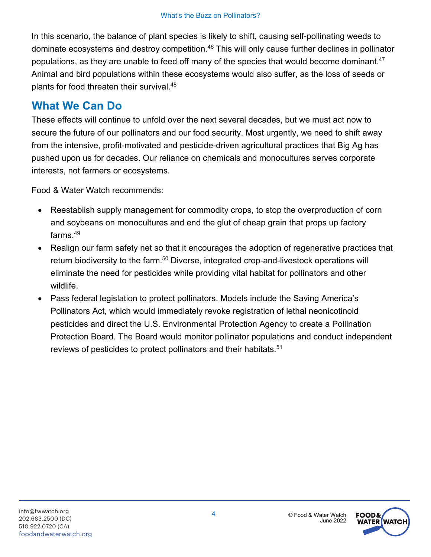In this scenario, the balance of plant species is likely to shift, causing self-pollinating weeds to dominate ecosystems and destroy competition.<sup>46</sup> This will only cause further declines in pollinator populations, as they are unable to feed off many of the species that would become dominant.<sup>47</sup> Animal and bird populations within these ecosystems would also suffer, as the loss of seeds or plants for food threaten their survival.<sup>48</sup>

### **What We Can Do**

These effects will continue to unfold over the next several decades, but we must act now to secure the future of our pollinators and our food security. Most urgently, we need to shift away from the intensive, profit-motivated and pesticide-driven agricultural practices that Big Ag has pushed upon us for decades. Our reliance on chemicals and monocultures serves corporate interests, not farmers or ecosystems.

Food & Water Watch recommends:

- Reestablish supply management for commodity crops, to stop the overproduction of corn and soybeans on monocultures and end the glut of cheap grain that props up factory farms. 49
- Realign our farm safety net so that it encourages the adoption of regenerative practices that return biodiversity to the farm.<sup>50</sup> Diverse, integrated crop-and-livestock operations will eliminate the need for pesticides while providing vital habitat for pollinators and other wildlife.
- Pass federal legislation to protect pollinators. Models include the Saving America's Pollinators Act, which would immediately revoke registration of lethal neonicotinoid pesticides and direct the U.S. Environmental Protection Agency to create a Pollination Protection Board. The Board would monitor pollinator populations and conduct independent reviews of pesticides to protect pollinators and their habitats.<sup>51</sup>

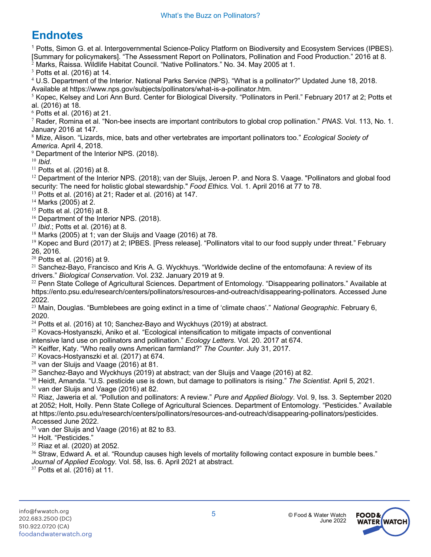## **Endnotes**

<sup>1</sup> Potts, Simon G. et al. Intergovernmental Science-Policy Platform on Biodiversity and Ecosystem Services (IPBES). [Summary for policymakers]. "The Assessment Report on Pollinators, Pollination and Food Production." 2016 at 8. <sup>2</sup> Marks, Raissa. Wildlife Habitat Council. "Native Pollinators." No. 34. May 2005 at 1.

 $3$  Potts et al. (2016) at 14.

<sup>4</sup> U.S. Department of the Interior. National Parks Service (NPS). "What is a pollinator?" Updated June 18, 2018. Available at https://www.nps.gov/subjects/pollinators/what-is-a-pollinator.htm.

 $5$  Kopec, Kelsey and Lori Ann Burd. Center for Biological Diversity. "Pollinators in Peril." February 2017 at 2; Potts et al. (2016) at 18.

 $6$  Potts et al. (2016) at 21.

<sup>7</sup> Rader, Romina et al. "Non-bee insects are important contributors to global crop pollination." *PNAS*. Vol. 113, No. 1. January 2016 at 147.

<sup>8</sup> Mize, Alison. "Lizards, mice, bats and other vertebrates are important pollinators too." *Ecological Society of* 

*America*. April 4, 2018.  $9$  Department of the Interior NPS. (2018).

<sup>10</sup> *Ibid*.

 $11$  Potts et al. (2016) at 8.

 $12$  Department of the Interior NPS. (2018); van der Sluijs, Jeroen P. and Nora S. Vaage. "Pollinators and global food security: The need for holistic global stewardship." *Food Ethics.* Vol. 1. April 2016 at 77 to 78.

<sup>13</sup> Potts et al. (2016) at 21; Rader et al. (2016) at 147.

 $14$  Marks (2005) at 2.

<sup>15</sup> Potts et al. (2016) at 8.

<sup>16</sup> Department of the Interior NPS. (2018).

<sup>17</sup> *Ibid*.; Potts et al. (2016) at 8.

 $18$  Marks (2005) at 1; van der Sluijs and Vaage (2016) at 78.

<sup>19</sup> Kopec and Burd (2017) at 2; IPBES. [Press release]. "Pollinators vital to our food supply under threat." February 26, 2016.

 $20$  Potts et al. (2016) at 9.

<sup>21</sup> Sanchez-Bayo, Francisco and Kris A. G. Wyckhuys. "Worldwide decline of the entomofauna: A review of its drivers." *Biological Conservation*. Vol. 232. January 2019 at 9.

 $22$  Penn State College of Agricultural Sciences. Department of Entomology. "Disappearing pollinators." Available at https://ento.psu.edu/research/centers/pollinators/resources-and-outreach/disappearing-pollinators. Accessed June 2022.

<sup>23</sup> Main, Douglas. "Bumblebees are going extinct in a time of 'climate chaos'." *National Geographic*. February 6, 2020.

 $24$  Potts et al. (2016) at 10; Sanchez-Bayo and Wyckhuys (2019) at abstract.

<sup>25</sup> Kovacs-Hostyanszki, Aniko et al. "Ecological intensification to mitigate impacts of conventional intensive land use on pollinators and pollination." *Ecology Letters*. Vol. 20. 2017 at 674.

<sup>26</sup> Keiffer, Katy. "Who really owns American farmland?" *The Counter*. July 31, 2017.

<sup>27</sup> Kovacs-Hostyanszki et al. (2017) at 674.

 $28$  van der Sluijs and Vaage (2016) at 81.

 $29$  Sanchez-Bayo and Wyckhuys (2019) at abstract; van der Sluijs and Vaage (2016) at 82.

<sup>30</sup> Heidt, Amanda. "U.S. pesticide use is down, but damage to pollinators is rising." *The Scientist*. April 5, 2021.

 $31$  van der Sluijs and Vaage (2016) at 82.

<sup>32</sup> Riaz, Jaweria et al. "Pollution and pollinators: A review." *Pure and Applied Biology*. Vol. 9, Iss. 3. September 2020 at 2052; Holt, Holly. Penn State College of Agricultural Sciences. Department of Entomology. "Pesticides." Available at https://ento.psu.edu/research/centers/pollinators/resources-and-outreach/disappearing-pollinators/pesticides. Accessed June 2022.

 $33$  van der Sluijs and Vaage (2016) at 82 to 83.

<sup>34</sup> Holt. "Pesticides."

 $35$  Riaz et al. (2020) at 2052.

 $36$  Straw, Edward A, et al. "Roundup causes high levels of mortality following contact exposure in bumble bees." *Journal of Applied Ecology.* Vol. 58, Iss. 6. April 2021 at abstract.

 $37$  Potts et al. (2016) at 11.